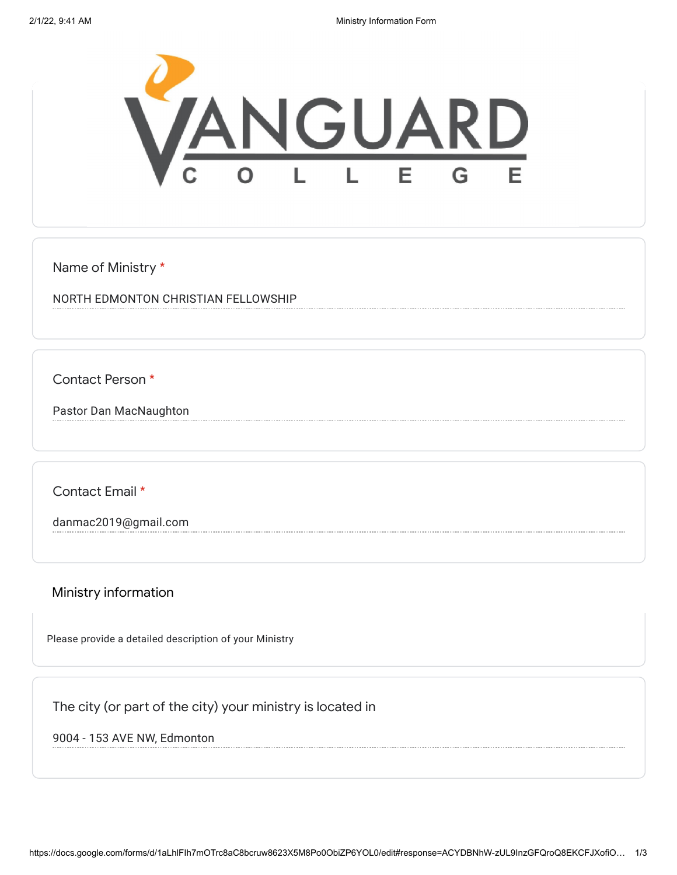

Name of Ministry \*

NORTH EDMONTON CHRISTIAN FELLOWSHIP

Contact Person \*

Pastor Dan MacNaughton

Contact Email \*

danmac2019@gmail.com

Ministry information

Please provide a detailed description of your Ministry

The city (or part of the city) your ministry is located in

9004 - 153 AVE NW, Edmonton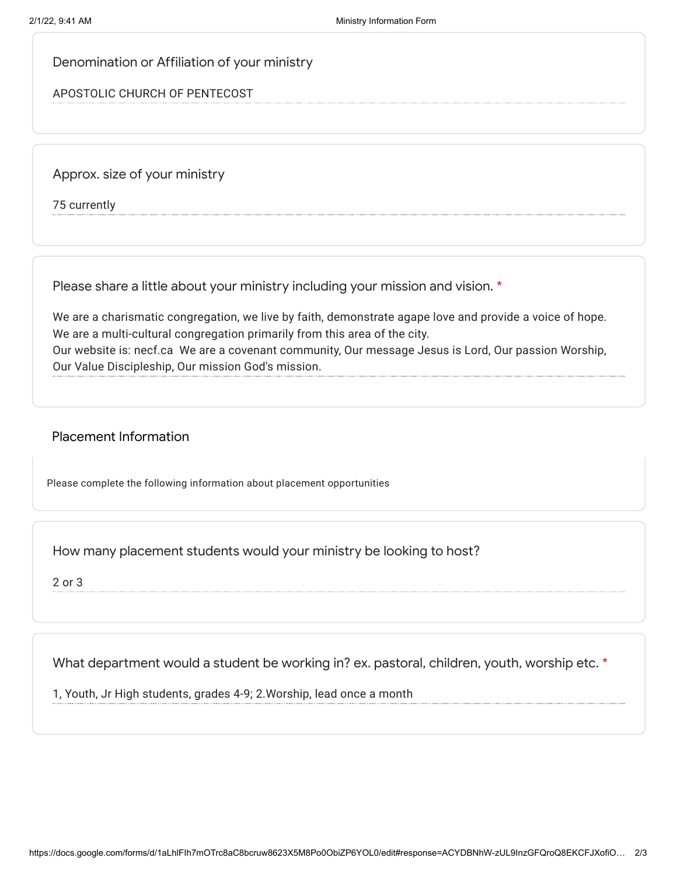## Denomination or Affiliation of your ministry

## APOSTOLIC CHURCH OF PENTECOST

Approx. size of your ministry

75 currently

Please share a little about your ministry including your mission and vision. \*

We are a charismatic congregation, we live by faith, demonstrate agape love and provide a voice of hope. We are a multi-cultural congregation primarily from this area of the city. Our website is: necf.ca We are a covenant community, Our message Jesus is Lord, Our passion Worship, Our Value Discipleship, Our mission God's mission.

## Placement Information

Please complete the following information about placement opportunities

How many placement students would your ministry be looking to host?

2 or 3

What department would a student be working in? ex. pastoral, children, youth, worship etc. \*

1, Youth, Jr High students, grades 4-9; 2.Worship, lead once a month